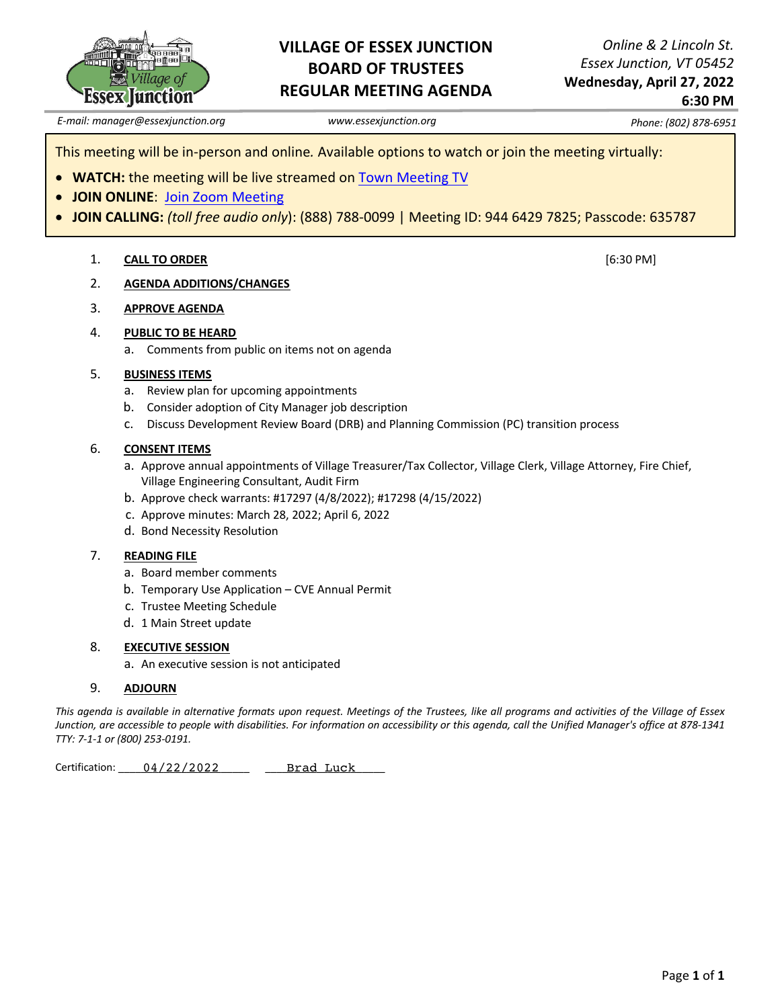

### **VILLAGE OF ESSEX JUNCTION BOARD OF TRUSTEES REGULAR MEETING AGENDA**

*Online & 2 Lincoln St. Essex Junction, VT 05452*  **Wednesday, April 27, 2022 6:30 PM**

[6:30 PM]

*E-mail: manager@essexjunction.org www.essexjunction.org Phone: (802) 878-6951*

This meeting will be in-person and online*.* Available options to watch or join the meeting virtually:

- **WATCH:** the meeting will be live streamed on Town Meeting TV
- **JOIN ONLINE**: Join Zoom Meeting
- **JOIN CALLING:** *(toll free audio only*): (888) 788-0099 | Meeting ID: 944 6429 7825; Passcode: 635787

### 1. **CALL TO ORDER**

- 2. **AGENDA ADDITIONS/CHANGES**
- 3. **APPROVE AGENDA**

### 4. **PUBLIC TO BE HEARD**

a. Comments from public on items not on agenda

### 5. **BUSINESS ITEMS**

- a. Review plan for upcoming appointments
- b. Consider adoption of City Manager job description
- c. Discuss Development Review Board (DRB) and Planning Commission (PC) transition process

### 6. **CONSENT ITEMS**

- a. Approve annual appointments of Village Treasurer/Tax Collector, Village Clerk, Village Attorney, Fire Chief, Village Engineering Consultant, Audit Firm
- b. Approve check warrants: #17297 (4/8/2022); #17298 (4/15/2022)
- c. Approve minutes: March 28, 2022; April 6, 2022
- d. Bond Necessity Resolution

### 7. **READING FILE**

- a. Board member comments
- b. Temporary Use Application CVE Annual Permit
- c. Trustee Meeting Schedule
- d. 1 Main Street update

### 8. **EXECUTIVE SESSION**

a. An executive session is not anticipated

### 9. **ADJOURN**

*This agenda is available in alternative formats upon request. Meetings of the Trustees, like all programs and activities of the Village of Essex Junction, are accessible to people with disabilities. For information on accessibility or this agenda, call the Unified Manager's office at 878-1341 TTY: 7-1-1 or (800) 253-0191.* 

Certification: \_\_\_\_\_ 04/22/2022 \_\_\_\_\_\_ \_\_\_\_\_ Brad Luck Brad Luck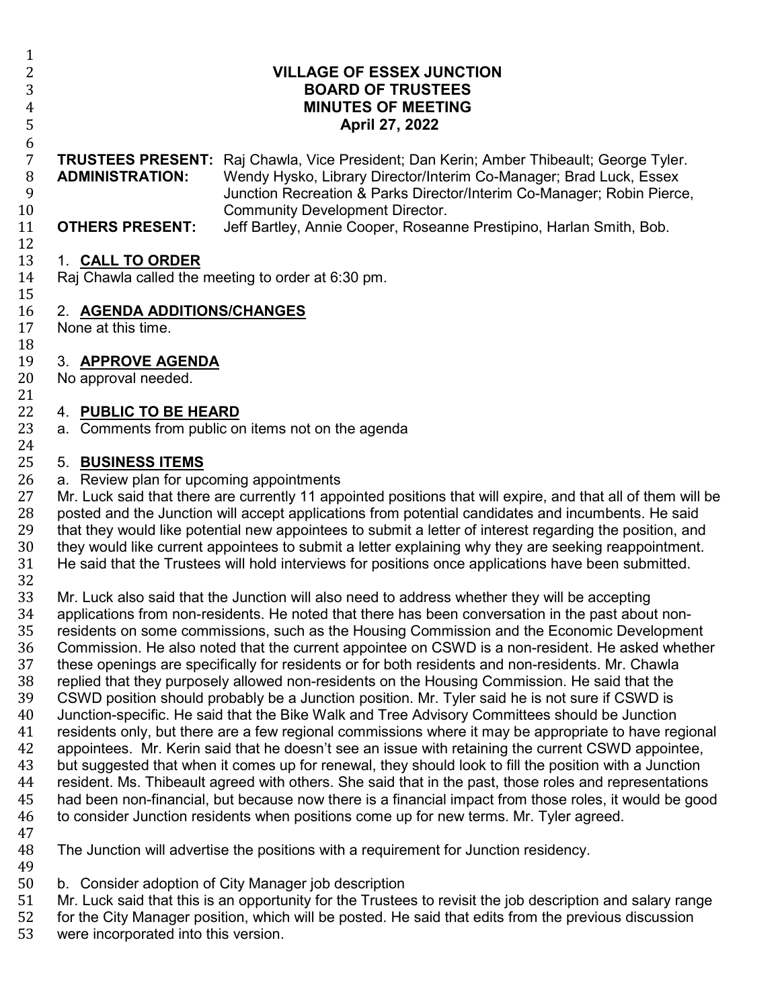6 7 **TRUSTEES PRESENT:** Raj Chawla, Vice President; Dan Kerin; Amber Thibeault; George Tyler. 8 **ADMINISTRATION:** Wendy Hysko, Library Director/Interim Co-Manager; Brad Luck, Essex<br>Junction Recreation & Parks Director/Interim Co-Manager: Robin Pierce 9 Junction Recreation & Parks Director/Interim Co-Manager; Robin Pierce, 10 Community Development Director.<br>11 **OTHERS PRESENT:** Jeff Bartley. Annie Cooper. Rosear

5 **April 27, 2022**

Jeff Bartley, Annie Cooper, Roseanne Prestipino, Harlan Smith, Bob.

## $\frac{12}{13}$ 13 1. **CALL TO ORDER**

Raj Chawla called the meeting to order at 6:30 pm.

2 **VILLAGE OF ESSEX JUNCTION** 3 **BOARD OF TRUSTEES** 4 **MINUTES OF MEETING**<br>5 **April 27, 2022** 

## $\frac{15}{16}$ 16 2. **AGENDA ADDITIONS/CHANGES**

None at this time.

18<br>19

 $\frac{1}{2}$ 

# 19 3. **APPROVE AGENDA**

No approval needed.

## 21<br>22 22 4. **PUBLIC TO BE HEARD**

a. Comments from public on items not on the agenda

# 24<br>25

25 5. **BUSINESS ITEMS**

26 a. Review plan for upcoming appointments<br>27 Mr. Luck said that there are currently 11 app 27 Mr. Luck said that there are currently 11 appointed positions that will expire, and that all of them will be<br>28 posted and the Junction will accept applications from potential candidates and incumbents. He said 28 posted and the Junction will accept applications from potential candidates and incumbents. He said<br>29 that they would like potential new appointees to submit a letter of interest regarding the position, and 29 that they would like potential new appointees to submit a letter of interest regarding the position, and<br>20 they would like current appointees to submit a letter explaining why they are seeking reappointment. 30 they would like current appointees to submit a letter explaining why they are seeking reappointment.<br>31 He said that the Trustees will hold interviews for positions once applications have been submitted. He said that the Trustees will hold interviews for positions once applications have been submitted.

32<br>33

33 Mr. Luck also said that the Junction will also need to address whether they will be accepting<br>34 applications from non-residents. He noted that there has been conversation in the past abou 34 applications from non-residents. He noted that there has been conversation in the past about non-<br>35 residents on some commissions, such as the Housing Commission and the Economic Developmer 35 residents on some commissions, such as the Housing Commission and the Economic Development<br>36 Commission. He also noted that the current appointee on CSWD is a non-resident. He asked whethe 36 Commission. He also noted that the current appointee on CSWD is a non-resident. He asked whether<br>37 these openings are specifically for residents or for both residents and non-residents. Mr. Chawla 37 these openings are specifically for residents or for both residents and non-residents. Mr. Chawla<br>38 Feplied that they purposely allowed non-residents on the Housing Commission. He said that the 38 replied that they purposely allowed non-residents on the Housing Commission. He said that the<br>39 CSWD position should probably be a Junction position. Mr. Tyler said he is not sure if CSWD is 39 CSWD position should probably be a Junction position. Mr. Tyler said he is not sure if CSWD is<br>40 Junction-specific. He said that the Bike Walk and Tree Advisory Committees should be Junction

- 40 Junction-specific. He said that the Bike Walk and Tree Advisory Committees should be Junction 41 residents only, but there are a few regional commissions where it may be appropriate to have regional 42 appointees. Mr. Kerin said that he doesn't see an issue with retaining the current CSWD appointee. 42 appointees. Mr. Kerin said that he doesn't see an issue with retaining the current CSWD appointee,<br>43 but suggested that when it comes up for renewal, they should look to fill the position with a Junction 43 but suggested that when it comes up for renewal, they should look to fill the position with a Junction<br>44 resident. Ms. Thibeault agreed with others. She said that in the past, those roles and representations 44 resident. Ms. Thibeault agreed with others. She said that in the past, those roles and representations 45 had been non-financial, but because now there is a financial impact from those roles, it would be good 46 to consider Junction residents when positions come up for new terms. Mr. Tyler agreed. to consider Junction residents when positions come up for new terms. Mr. Tyler agreed.
- 47
- The Junction will advertise the positions with a requirement for Junction residency.
- 
- 49<br>50 50 b. Consider adoption of City Manager job description<br>51 Mr. Luck said that this is an opportunity for the Trustee
- 51 Mr. Luck said that this is an opportunity for the Trustees to revisit the job description and salary range<br>52 for the City Manager position, which will be posted. He said that edits from the previous discussion
- 52 for the City Manager position, which will be posted. He said that edits from the previous discussion<br>53 were incorporated into this version.
- were incorporated into this version.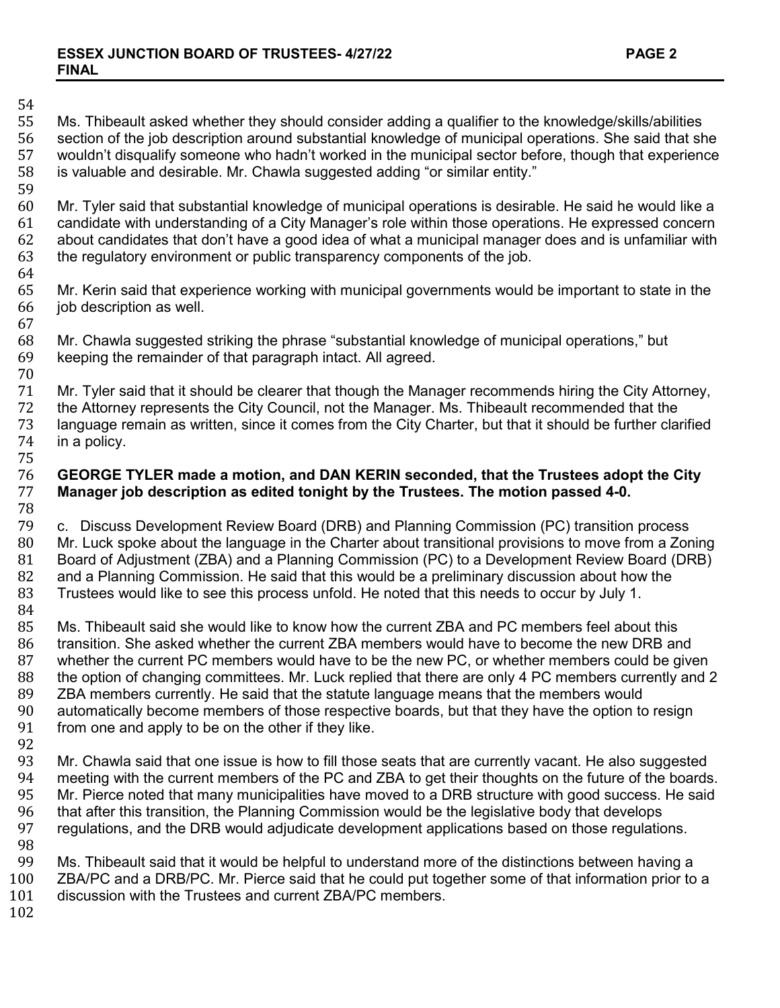# 54<br>55

55 Ms. Thibeault asked whether they should consider adding a qualifier to the knowledge/skills/abilities<br>56 section of the job description around substantial knowledge of municipal operations. She said that sh 56 section of the job description around substantial knowledge of municipal operations. She said that she 57 wouldn't disqualify someone who hadn't worked in the municipal sector before, though that experience 58 is valuable and desirable. Mr. Chawla suggested adding "or similar entity." is valuable and desirable. Mr. Chawla suggested adding "or similar entity."

59<br>60 60 Mr. Tyler said that substantial knowledge of municipal operations is desirable. He said he would like a<br>61 candidate with understanding of a City Manager's role within those operations. He expressed concern 61 candidate with understanding of a City Manager's role within those operations. He expressed concern 62 about candidates that don't have a good idea of what a municipal manager does and is unfamiliar with 63 the regulatory environment or public transparency components of the job. the regulatory environment or public transparency components of the job.

- 64<br>65 65 Mr. Kerin said that experience working with municipal governments would be important to state in the 66 inthe job description as well.
- 67 68 Mr. Chawla suggested striking the phrase "substantial knowledge of municipal operations," but 69 keeping the remainder of that paragraph intect. All agreed. keeping the remainder of that paragraph intact. All agreed.
- 70 71 Mr. Tyler said that it should be clearer that though the Manager recommends hiring the City Attorney, 72 the Attorney, 72 72 the Attorney represents the City Council, not the Manager. Ms. Thibeault recommended that the<br>73 Language remain as written, since it comes from the City Charter, but that it should be further cla 73 language remain as written, since it comes from the City Charter, but that it should be further clarified<br>74 in a policy. in a policy.

### 75 76 **GEORGE TYLER made a motion, and DAN KERIN seconded, that the Trustees adopt the City**  Manager job description as edited tonight by the Trustees. The motion passed 4-0.

- 78 79 c. Discuss Development Review Board (DRB) and Planning Commission (PC) transition process 80 Mr. Luck spoke about the language in the Charter about transitional provisions to move from a Zoning<br>81 Board of Adjustment (ZBA) and a Planning Commission (PC) to a Development Review Board (DRB) 81 Board of Adjustment (ZBA) and a Planning Commission (PC) to a Development Review Board (DRB)<br>82 and a Planning Commission. He said that this would be a preliminary discussion about how the 82 and a Planning Commission. He said that this would be a preliminary discussion about how the 83 Trustees would like to see this process unfold. He noted that this needs to occur by July 1. Trustees would like to see this process unfold. He noted that this needs to occur by July 1.
- 84<br>85 85 Ms. Thibeault said she would like to know how the current ZBA and PC members feel about this 86 transition. She asked whether the current ZBA members would have to become the new DRB are 86 transition. She asked whether the current ZBA members would have to become the new DRB and<br>87 whether the current PC members would have to be the new PC, or whether members could be give 87 whether the current PC members would have to be the new PC, or whether members could be given<br>88 the option of changing committees. Mr. Luck replied that there are only 4 PC members currently and 2 88 the option of changing committees. Mr. Luck replied that there are only 4 PC members currently and 2<br>89 ZBA members currently. He said that the statute language means that the members would 89 ZBA members currently. He said that the statute language means that the members would<br>90 automatically become members of those respective boards, but that they have the option to 90 automatically become members of those respective boards, but that they have the option to resign<br>91 from one and apply to be on the other if they like. from one and apply to be on the other if they like.
- 92<br>93
- 93 Mr. Chawla said that one issue is how to fill those seats that are currently vacant. He also suggested 94 meeting with the current members of the PC and ZBA to get their thoughts on the future of the boards.<br>95 Mr. Pierce noted that many municipalities have moved to a DRB structure with good success. He said 95 Mr. Pierce noted that many municipalities have moved to a DRB structure with good success. He said<br>96 that after this transition, the Planning Commission would be the legislative body that develops 96 that after this transition, the Planning Commission would be the legislative body that develops<br>97 regulations, and the DRB would adjudicate development applications based on those regulation regulations, and the DRB would adjudicate development applications based on those regulations.
- 

98<br>99 99 Ms. Thibeault said that it would be helpful to understand more of the distinctions between having a<br>100 ZBA/PC and a DRB/PC. Mr. Pierce said that he could put together some of that information prior to 100 ZBA/PC and a DRB/PC. Mr. Pierce said that he could put together some of that information prior to a 101 discussion with the Trustees and current ZBA/PC members. discussion with the Trustees and current ZBA/PC members.

102